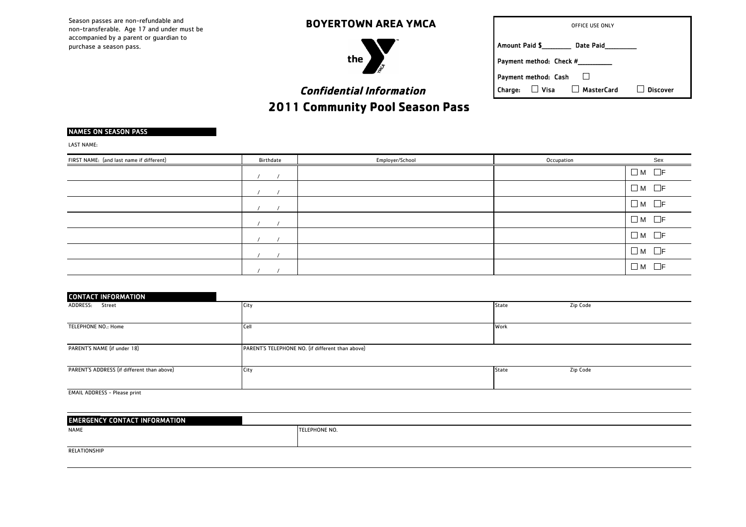Season passes are non-refundable and non-transferable. Age 17 and under must be accompanied by a parent or guardian to purchase a season pass.

 **BOYERTOWN AREA YMCA**



| OFFICE USE ONLY                                 |                 |  |
|-------------------------------------------------|-----------------|--|
| Amount Paid \$<br>Date Paid                     |                 |  |
| Payment method: Check #                         |                 |  |
| Payment method: Cash                            |                 |  |
| $\Box$ Visa $\Box$ MasterCard<br><b>Charge:</b> | <b>Discover</b> |  |

# **Confidential Information** 2011 Community Pool Season Pass

### NAMES ON SEASON PASS

LAST NAME:

| FIRST NAME: (and last name if different) | <b>Birthdate</b> | Employer/School | Occupation | Sex               |
|------------------------------------------|------------------|-----------------|------------|-------------------|
|                                          |                  |                 |            | $\Box$ M $\Box$ F |
|                                          |                  |                 |            | $\Box$ M $\Box$ F |
|                                          |                  |                 |            | $\Box$ M $\Box$ F |
|                                          |                  |                 |            | $\Box$ M $\Box$ F |
|                                          |                  |                 |            | $\Box$ M $\Box$ F |
|                                          |                  |                 |            | $\Box$ M $\Box$ F |
|                                          |                  |                 |            | $\Box$ M $\Box$ F |

| <b>CONTACT INFORMATION</b>                 |                                                  |       |          |
|--------------------------------------------|--------------------------------------------------|-------|----------|
| ADDRESS: Street                            | City                                             | State | Zip Code |
|                                            |                                                  |       |          |
| TELEPHONE NO.: Home                        | Cell                                             | Work  |          |
|                                            |                                                  |       |          |
| PARENT'S NAME (if under 18)                | PARENT'S TELEPHONE NO. (if different than above) |       |          |
|                                            |                                                  |       |          |
| PARENT'S ADDRESS (if different than above) | City                                             | State | Zip Code |
|                                            |                                                  |       |          |
| <b>EMAIL ADDRESS - Please print</b>        |                                                  |       |          |

NAME TELEPHONE NO. EMERGENCY CONTACT INFORMATION

RELATIONSHIP